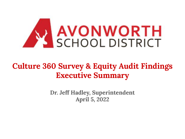

## **Culture 360 Survey & Equity Audit Findings Executive Summary**

**Dr. Jeff Hadley, Superintendent April 5, 2022**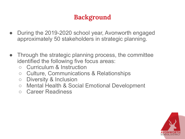## **Background**

- During the 2019-2020 school year, Avonworth engaged approximately 50 stakeholders in strategic planning.
- Through the strategic planning process, the committee identified the following five focus areas:
	- Curriculum & Instruction
	- Culture, Communications & Relationships
	- Diversity & Inclusion
	- Mental Health & Social Emotional Development
	- Career Readiness

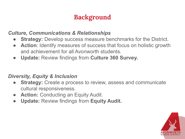### **Background**

#### *Culture, Communications & Relationships*

- **Strategy: Develop success measure benchmarks for the District.**
- **● Action**: Identify measures of success that focus on holistic growth and achievement for all Avonworth students.
- **● Update:** Review findings from **Culture 360 Survey.**

#### *Diversity, Equity & Inclusion*

- **● Strategy:** Create a process to review, assess and communicate cultural responsiveness.
- **Action: Conducting an Equity Audit.**
- **● Update:** Review findings from **Equity Audit.**

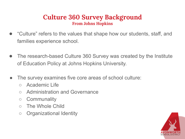#### **Culture 360 Survey Background From Johns Hopkins**

- "Culture" refers to the values that shape how our students, staff, and families experience school.
- The research-based Culture 360 Survey was created by the Institute of Education Policy at Johns Hopkins University.
- The survey examines five core areas of school culture:
	- Academic Life
	- Administration and Governance
	- Communality
	- The Whole Child
	- Organizational Identity

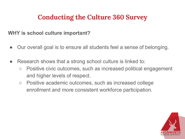### **Conducting the Culture 360 Survey**

#### **WHY is school culture important?**

- Our overall goal is to ensure all students feel a sense of belonging.
- Research shows that a strong school culture is linked to:
	- Positive civic outcomes, such as increased political engagement and higher levels of respect.
	- Positive academic outcomes, such as increased college enrollment and more consistent workforce participation.

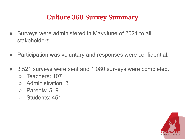### **Culture 360 Survey Summary**

- Surveys were administered in May/June of 2021 to all stakeholders.
- Participation was voluntary and responses were confidential.
- 3,521 surveys were sent and 1,080 surveys were completed. ○ Teachers: 107
	- Administration: 3
	- Parents: 519
	- Students: 451

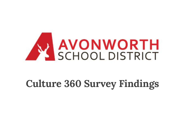

# **Culture 360 Survey Findings**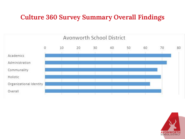### **Culture 360 Survey Summary Overall Findings**



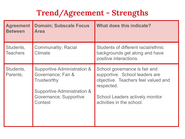## **Trend/Agreement - Strengths**

| <b>Agreement</b><br><b>Between</b> | <b>Domain; Subscale Focus</b><br><b>Area</b>                                                                                                | What does this indicate?                                                                                                                                                             |
|------------------------------------|---------------------------------------------------------------------------------------------------------------------------------------------|--------------------------------------------------------------------------------------------------------------------------------------------------------------------------------------|
| Students,<br><b>Teachers</b>       | <b>Communality; Racial</b><br>Climate                                                                                                       | Students of different racial/ethnic<br>backgrounds get along and have<br>positive interactions.                                                                                      |
| Students,<br>Parents,              | Supportive Administration &<br>Governance; Fair &<br><b>Trustworthy</b><br>Supportive Administration &<br>Governance; Supportive<br>Context | School governance is fair and<br>supportive. School leaders are<br>objective. Teachers feel valued and<br>respected.<br>School Leaders actively monitor<br>activities in the school. |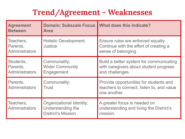## **Trend/Agreement - Weaknesses**

| <b>Agreement</b><br><b>Between</b>             | <b>Domain; Subscale Focus</b><br><b>Area</b>                               | What does this indicate?                                                                             |
|------------------------------------------------|----------------------------------------------------------------------------|------------------------------------------------------------------------------------------------------|
| Teachers,<br>Parents,<br><b>Administrators</b> | <b>Holistic Development;</b><br>Justice                                    | Ensure rules are enforced equally.<br>Continue with the effort of creating a<br>sense of belonging.  |
| Students,<br>Parents,<br><b>Administrators</b> | Communality;<br><b>Wider Community</b><br>Engagement                       | Build a better system for communicating<br>with caregivers about student progress<br>and challenges. |
| Parents,<br><b>Administrators</b>              | Communality;<br>Trust                                                      | Provide opportunities for students and<br>teachers to connect, listen to, and value<br>one another.  |
| Teachers,<br><b>Administrators</b>             | Organizational Identity;<br>Understanding the<br><b>District's Mission</b> | A greater focus is needed on<br>understanding and living the District's<br>mission.                  |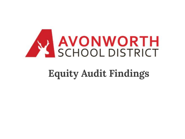

# **Equity Audit Findings**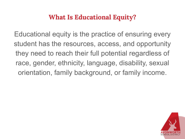### **What Is Educational Equity?**

Educational equity is the practice of ensuring every student has the resources, access, and opportunity they need to reach their full potential regardless of race, gender, ethnicity, language, disability, sexual orientation, family background, or family income.

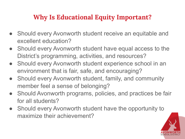### **Why Is Educational Equity Important?**

- Should every Avonworth student receive an equitable and excellent education?
- Should every Avonworth student have equal access to the District's programming, activities, and resources?
- Should every Avonworth student experience school in an environment that is fair, safe, and encouraging?
- Should every Avonworth student, family, and community member feel a sense of belonging?
- Should Avonworth programs, policies, and practices be fair for all students?
- Should every Avonworth student have the opportunity to maximize their achievement?

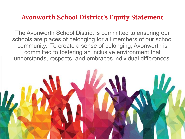#### **Avonworth School District's Equity Statement**

The Avonworth School District is committed to ensuring our schools are places of belonging for all members of our school community. To create a sense of belonging, Avonworth is committed to fostering an inclusive environment that understands, respects, and embraces individual differences.

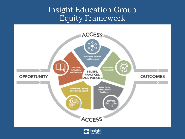### Insight Education Group Equity Framework



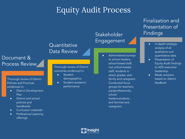## Equity Audit Process

#### **Quantitative** Data Review

#### Document & Process Review

Thorough review of District Policies and Practices evidenced in:

- District Development Plan
- District and school policies and handbooks
- Curriculum materials
- Professional Learning offerings

Thorough review of District outcomes evidenced in:

- Student demographics
- Student academic performance

#### Stakeholder Engagement

● Administered surveys to school leaders, school-based staff, non school-based staff, students in select grades, and family and caregivers Conducted focus groups for teachers, paraprofessionals, school leaders,students , and families and caregivers.

#### Finalization and Presentation of Findings

- In-depth strategic analysis of all qualitative and quantitative data
- Presentation of Equity Audit findings to ASD executive leadership
- Made revisions based on district feedback

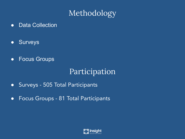## Methodology

- Data Collection
- Surveys
- Focus Groups

## Participation

- **●** Surveys 505 Total Participants
- **●** Focus Groups 81 Total Participants

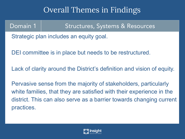## Overall Themes in Findings

#### Domain 1 Structures, Systems & Resources

Strategic plan includes an equity goal.

DEI committee is in place but needs to be restructured.

Lack of clarity around the District's definition and vision of equity.

Pervasive sense from the majority of stakeholders, particularly white families, that they are satisfied with their experience in the district. This can also serve as a barrier towards changing current practices.

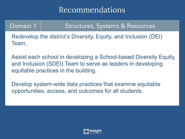## Recommendations

#### Domain 1 Structures, Systems & Resources

Redevelop the district's Diversity, Equity, and Inclusion (DEI) Team.

Assist each school in developing a School-based Diversity Equity, and Inclusion (SDEI) Team to serve as leaders in developing equitable practices in the building.

Develop system-wide data practices that examine equitable opportunities, access, and outcomes for all students.

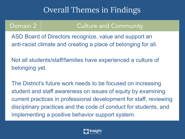## Overall Themes in Findings

#### Domain 2 and Culture and Community

ASD Board of Directors recognize, value and support an anti-racist climate and creating a place of belonging for all.

Not all students/staff/families have experienced a culture of belonging yet.

The District's future work needs to be focused on increasing student and staff awareness on issues of equity by examining current practices in professional development for staff, reviewing disciplinary practices and the code of conduct for students, and implementing a positive behavior support system.

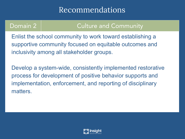## Recommendations

#### Domain 2 and Culture and Community

Enlist the school community to work toward establishing a supportive community focused on equitable outcomes and inclusivity among all stakeholder groups.

Develop a system-wide, consistently implemented restorative process for development of positive behavior supports and implementation, enforcement, and reporting of disciplinary matters.

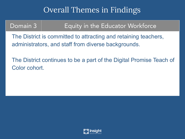## Overall Themes in Findings

### Domain 3 | Equity in the Educator Workforce

The District is committed to attracting and retaining teachers, administrators, and staff from diverse backgrounds.

The District continues to be a part of the Digital Promise Teach of Color cohort.

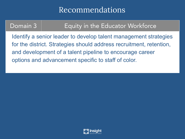## Recommendations

### Domain 3 | Equity in the Educator Workforce

Identify a senior leader to develop talent management strategies for the district. Strategies should address recruitment, retention, and development of a talent pipeline to encourage career options and advancement specific to staff of color.

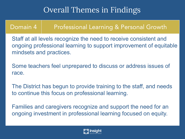## Overall Themes in Findings

#### Domain 4 | Professional Learning & Personal Growth

Staff at all levels recognize the need to receive consistent and ongoing professional learning to support improvement of equitable mindsets and practices.

Some teachers feel unprepared to discuss or address issues of race.

The District has begun to provide training to the staff, and needs to continue this focus on professional learning.

Families and caregivers recognize and support the need for an ongoing investment in professional learning focused on equity.

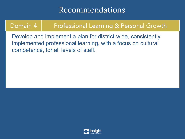## Recommendations

### Domain 4 | Professional Learning & Personal Growth

Develop and implement a plan for district-wide, consistently implemented professional learning, with a focus on cultural competence, for all levels of staff.

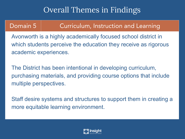## Overall Themes in Findings

#### Domain 5 Curriculum, Instruction and Learning

Avonworth is a highly academically focused school district in which students perceive the education they receive as rigorous academic experiences.

The District has been intentional in developing curriculum, purchasing materials, and providing course options that include multiple perspectives.

Staff desire systems and structures to support them in creating a more equitable learning environment.

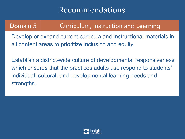## Recommendations

### Domain 5 | Curriculum, Instruction and Learning

Develop or expand current curricula and instructional materials in all content areas to prioritize inclusion and equity.

Establish a district-wide culture of developmental responsiveness which ensures that the practices adults use respond to students' individual, cultural, and developmental learning needs and strengths.

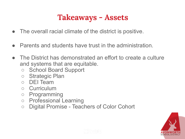## **Takeaways - Assets**

- The overall racial climate of the district is positive.
- **Parents and students have trust in the administration.**
- The District has demonstrated an effort to create a culture and systems that are equitable.
	- School Board Support
	- Strategic Plan
	- DEI Team
	- Curriculum
	- Programming
	- Professional Learning
	- Digital Promise Teachers of Color Cohort



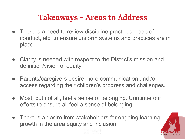## **Takeaways - Areas to Address**

- There is a need to review discipline practices, code of conduct, etc. to ensure uniform systems and practices are in place.
- Clarity is needed with respect to the District's mission and definition/vision of equity.
- Parents/caregivers desire more communication and /or access regarding their children's progress and challenges.
- Most, but not all, feel a sense of belonging. Continue our efforts to ensure all feel a sense of belonging.
- There is a desire from stakeholders for ongoing learning growth in the area equity and inclusion.